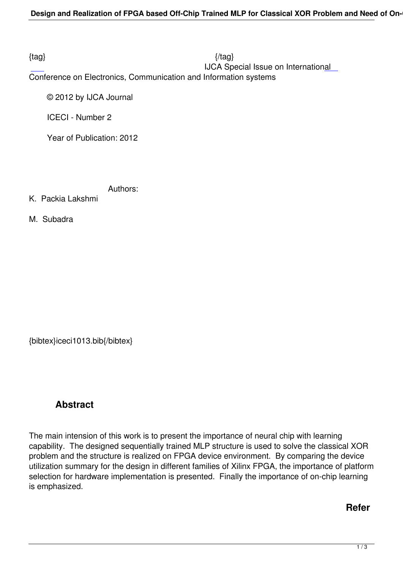$\{tag\}$ IJCA Special Issue on International

Conference on Electronics, Communication and Information systems

© 2012 by IJCA Journal

ICECI - Number 2

Year of Publication: 2012

Authors:

K. Packia Lakshmi

M. Subadra

{bibtex}iceci1013.bib{/bibtex}

## **Abstract**

The main intension of this work is to present the importance of neural chip with learning capability. The designed sequentially trained MLP structure is used to solve the classical XOR problem and the structure is realized on FPGA device environment. By comparing the device utilization summary for the design in different families of Xilinx FPGA, the importance of platform selection for hardware implementation is presented. Finally the importance of on-chip learning is emphasized.

## **Refer**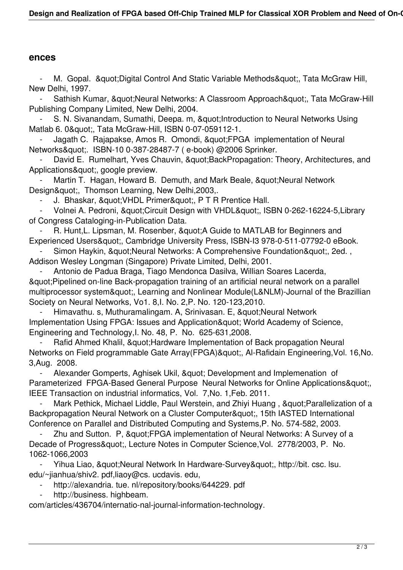## **ences**

M. Gopal. & quot: Digital Control And Static Variable Methods & quot: Tata McGraw Hill, New Delhi, 1997.

Sathish Kumar, " Neural Networks: A Classroom Approach", Tata McGraw-Hill Publishing Company Limited, New Delhi, 2004.

S. N. Sivanandam, Sumathi, Deepa. m, " Introduction to Neural Networks Using Matlab 6. 0 & quot;, Tata McGraw-Hill, ISBN 0-07-059112-1.

Jagath C. Rajapakse, Amos R. Omondi, &quot: FPGA implementation of Neural Networks&auot:. ISBN-10 0-387-28487-7 ( e-book) @2006 Sprinker.

David E. Rumelhart, Yves Chauvin, & au t: BackPropagation: Theory, Architectures, and Applications", google preview.

Martin T. Hagan, Howard B. Demuth, and Mark Beale, " Neural Network Design", Thomson Learning, New Delhi,2003,.

J. Bhaskar, & quot; VHDL Primer & quot;, P T R Prentice Hall.

Volnei A. Pedroni, & quot; Circuit Design with VHDL& quot;, ISBN 0-262-16224-5, Library of Congress Cataloging-in-Publication Data.

R. Hunt, L. Lipsman, M. Rosenber, & quot; A Guide to MATLAB for Beginners and Experienced Users&quot:, Cambridge University Press, ISBN-I3 978-0-511-07792-0 eBook.

Simon Haykin, & au ot: Neural Networks: A Comprehensive Foundation & quot:, 2ed. , Addison Wesley Longman (Singapore) Private Limited, Delhi, 2001.

Antonio de Padua Braga, Tiago Mendonca Dasilya, Willian Soares Lacerda, "Pipelined on-line Back-propagation training of an artificial neural network on a parallel multiprocessor system", Learning and Nonlinear Module(L&NLM)-Journal of the Brazillian Society on Neural Networks, Vo1. 8,I. No. 2,P. No. 120-123,2010.

Himavathu. s, Muthuramalingam. A, Srinivasan. E, "Neural Network Implementation Using FPGA: Issues and Application & quot: World Academy of Science, Engineering and Technology,I. No. 48, P. No. 625-631,2008.

Rafid Ahmed Khalil, & quot; Hardware Implementation of Back propagation Neural Networks on Field programmable Gate Array(FPGA)", Al-Rafidain Engineering, Vol. 16, No. 3,Aug. 2008.

Alexander Gomperts, Aghisek Ukil, " Development and Implemenation of Parameterized FPGA-Based General Purpose Neural Networks for Online Applications" IEEE Transaction on industrial informatics, Vol. 7,No. 1,Feb. 2011.

Mark Pethick, Michael Liddle, Paul Werstein, and Zhiyi Huang, & quot; Parallelization of a Backpropagation Neural Network on a Cluster Computer", 15th IASTED International Conference on Parallel and Distributed Computing and Systems,P. No. 574-582, 2003.

Zhu and Sutton. P, & quot; FPGA implementation of Neural Networks: A Survey of a Decade of Progress", Lecture Notes in Computer Science, Vol. 2778/2003, P. No. 1062-1066,2003

Yihua Liao, & quot; Neural Network In Hardware-Survey & quot;, http://bit. csc. lsu. edu/~jianhua/shiv2. pdf,liaoy@cs. ucdavis. edu,

http://alexandria. tue. nl/repository/books/644229. pdf

http://business. highbeam.

com/articles/436704/internatio-nal-journal-information-technology.